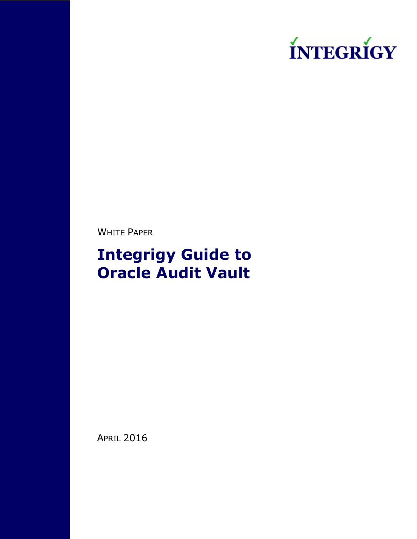

WHITE PAPER

# **Integrigy Guide to Oracle Audit Vault**

APRIL 2016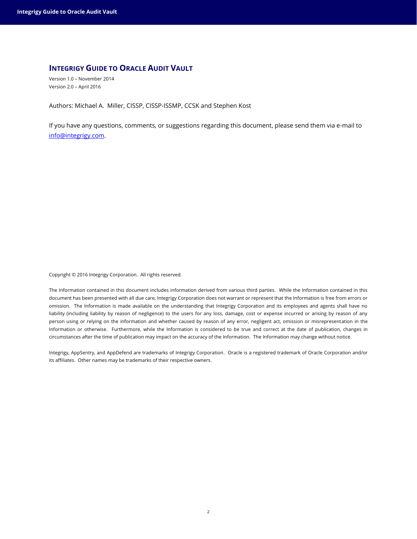## **INTEGRIGY GUIDE TO ORACLE AUDIT VAULT**

Version 1.0 – November 2014 Version 2.0 – April 2016

Authors: Michael A. Miller, CISSP, CISSP-ISSMP, CCSK and Stephen Kost

If you have any questions, comments, or suggestions regarding this document, please send them via e-mail to [info@integrigy.com.](mailto:info@integrigy.com)

Copyright © 2016 Integrigy Corporation. All rights reserved.

The Information contained in this document includes information derived from various third parties. While the Information contained in this document has been presented with all due care, Integrigy Corporation does not warrant or represent that the Information is free from errors or omission. The Information is made available on the understanding that Integrigy Corporation and its employees and agents shall have no liability (including liability by reason of negligence) to the users for any loss, damage, cost or expense incurred or arising by reason of any person using or relying on the information and whether caused by reason of any error, negligent act, omission or misrepresentation in the Information or otherwise. Furthermore, while the Information is considered to be true and correct at the date of publication, changes in circumstances after the time of publication may impact on the accuracy of the Information. The Information may change without notice.

Integrigy, AppSentry, and AppDefend are trademarks of Integrigy Corporation. Oracle is a registered trademark of Oracle Corporation and/or its affiliates. Other names may be trademarks of their respective owners.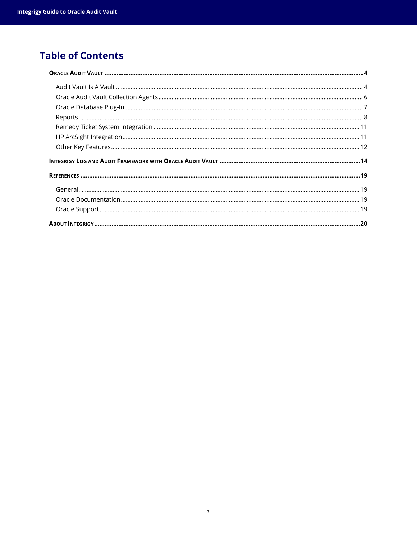## **Table of Contents**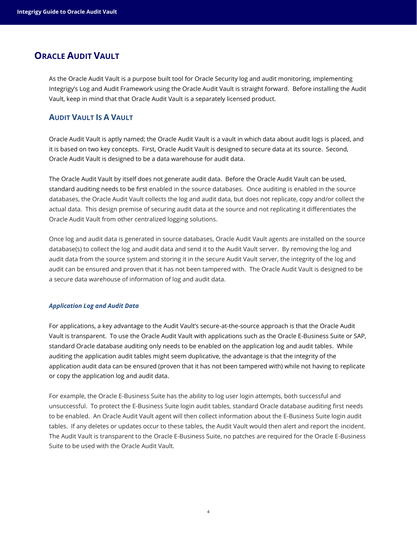## <span id="page-3-0"></span>**ORACLE AUDIT VAULT**

As the Oracle Audit Vault is a purpose built tool for Oracle Security log and audit monitoring, implementing Integrigy's Log and Audit Framework using the Oracle Audit Vault is straight forward. Before installing the Audit Vault, keep in mind that that Oracle Audit Vault is a separately licensed product.

## <span id="page-3-1"></span>**AUDIT VAULT IS A VAULT**

Oracle Audit Vault is aptly named; the Oracle Audit Vault is a vault in which data about audit logs is placed, and it is based on two key concepts. First, Oracle Audit Vault is designed to secure data at its source. Second, Oracle Audit Vault is designed to be a data warehouse for audit data.

The Oracle Audit Vault by itself does not generate audit data. Before the Oracle Audit Vault can be used, standard auditing needs to be first enabled in the source databases. Once auditing is enabled in the source databases, the Oracle Audit Vault collects the log and audit data, but does not replicate, copy and/or collect the actual data. This design premise of securing audit data at the source and not replicating it differentiates the Oracle Audit Vault from other centralized logging solutions.

Once log and audit data is generated in source databases, Oracle Audit Vault agents are installed on the source database(s) to collect the log and audit data and send it to the Audit Vault server. By removing the log and audit data from the source system and storing it in the secure Audit Vault server, the integrity of the log and audit can be ensured and proven that it has not been tampered with. The Oracle Audit Vault is designed to be a secure data warehouse of information of log and audit data.

#### *Application Log and Audit Data*

For applications, a key advantage to the Audit Vault's secure-at-the-source approach is that the Oracle Audit Vault is transparent. To use the Oracle Audit Vault with applications such as the Oracle E-Business Suite or SAP, standard Oracle database auditing only needs to be enabled on the application log and audit tables. While auditing the application audit tables might seem duplicative, the advantage is that the integrity of the application audit data can be ensured (proven that it has not been tampered with) while not having to replicate or copy the application log and audit data.

For example, the Oracle E-Business Suite has the ability to log user login attempts, both successful and unsuccessful. To protect the E-Business Suite login audit tables, standard Oracle database auditing first needs to be enabled. An Oracle Audit Vault agent will then collect information about the E-Business Suite login audit tables. If any deletes or updates occur to these tables, the Audit Vault would then alert and report the incident. The Audit Vault is transparent to the Oracle E-Business Suite, no patches are required for the Oracle E-Business Suite to be used with the Oracle Audit Vault.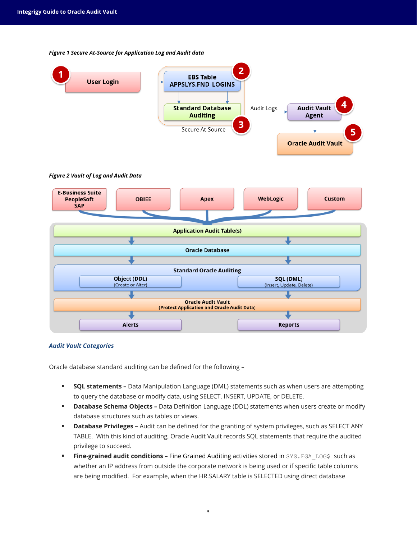

#### *Figure 1 Secure At-Source for Application Log and Audit data*

#### *Audit Vault Categories*

Oracle database standard auditing can be defined for the following –

**Alerts** 

 **SQL statements –** Data Manipulation Language (DML) statements such as when users are attempting to query the database or modify data, using SELECT, INSERT, UPDATE, or DELETE.

**Reports** 

- **Database Schema Objects –** Data Definition Language (DDL) statements when users create or modify database structures such as tables or views.
- **Database Privileges** Audit can be defined for the granting of system privileges, such as SELECT ANY TABLE. With this kind of auditing, Oracle Audit Vault records SQL statements that require the audited privilege to succeed.
- **Fine-grained audit conditions -** Fine Grained Auditing activities stored in SYS. FGA\_LOG\$ such as whether an IP address from outside the corporate network is being used or if specific table columns are being modified. For example, when the HR.SALARY table is SELECTED using direct database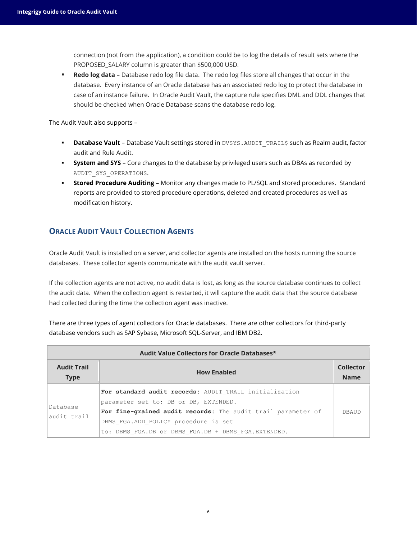connection (not from the application), a condition could be to log the details of result sets where the PROPOSED\_SALARY column is greater than \$500,000 USD.

 **Redo log data –** Database redo log file data. The redo log files store all changes that occur in the database. Every instance of an Oracle database has an associated redo log to protect the database in case of an instance failure. In Oracle Audit Vault, the capture rule specifies DML and DDL changes that should be checked when Oracle Database scans the database redo log.

The Audit Vault also supports –

- **Database Vault** Database Vault settings stored in DVSYS. AUDIT\_TRAIL\$ such as Realm audit, factor audit and Rule Audit.
- **System and SYS** Core changes to the database by privileged users such as DBAs as recorded by AUDIT\_SYS\_OPERATIONS.
- **Stored Procedure Auditing** Monitor any changes made to PL/SQL and stored procedures. Standard reports are provided to stored procedure operations, deleted and created procedures as well as modification history.

## <span id="page-5-0"></span>**ORACLE AUDIT VAULT COLLECTION AGENTS**

Oracle Audit Vault is installed on a server, and collector agents are installed on the hosts running the source databases. These collector agents communicate with the audit vault server.

If the collection agents are not active, no audit data is lost, as long as the source database continues to collect the audit data. When the collection agent is restarted, it will capture the audit data that the source database had collected during the time the collection agent was inactive.

There are three types of agent collectors for Oracle databases. There are other collectors for third-party database vendors such as SAP Sybase, Microsoft SQL-Server, and IBM DB2.

| Audit Value Collectors for Oracle Databases* |                                                                                                                                                                                                                                                                |              |  |  |
|----------------------------------------------|----------------------------------------------------------------------------------------------------------------------------------------------------------------------------------------------------------------------------------------------------------------|--------------|--|--|
| <b>Audit Trail</b><br><b>Type</b>            | <b>How Enabled</b>                                                                                                                                                                                                                                             |              |  |  |
| Database<br>audit trail                      | For standard audit records: AUDIT TRAIL initialization<br>parameter set to: DB or DB, EXTENDED.<br>For fine-grained audit records: The audit trail parameter of<br>DBMS FGA.ADD POLICY procedure is set<br>to: DBMS FGA.DB or DBMS FGA.DB + DBMS FGA.EXTENDED. | <b>DBAUD</b> |  |  |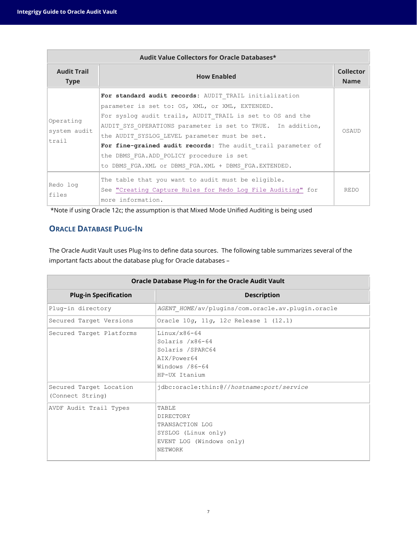| Audit Value Collectors for Oracle Databases* |                                                                                                                                                                                                                                                                                                                                                                                                                                                            |             |  |  |  |
|----------------------------------------------|------------------------------------------------------------------------------------------------------------------------------------------------------------------------------------------------------------------------------------------------------------------------------------------------------------------------------------------------------------------------------------------------------------------------------------------------------------|-------------|--|--|--|
| <b>Audit Trail</b><br><b>Type</b>            | <b>How Enabled</b>                                                                                                                                                                                                                                                                                                                                                                                                                                         |             |  |  |  |
| Operating<br>system audit<br>trail           | For standard audit records: AUDIT TRAIL initialization<br>parameter is set to: OS, XML, or XML, EXTENDED.<br>For syslog audit trails, AUDIT TRAIL is set to OS and the<br>AUDIT SYS OPERATIONS parameter is set to TRUE. In addition,<br>the AUDIT SYSLOG LEVEL parameter must be set.<br>For fine-grained audit records: The audit trail parameter of<br>the DBMS FGA.ADD POLICY procedure is set<br>to DBMS FGA.XML or DBMS FGA.XML + DBMS FGA.EXTENDED. | OSAUD       |  |  |  |
| Redo log<br>files                            | The table that you want to audit must be eligible.<br>See "Creating Capture Rules for Redo Log File Auditing" for<br>more information.                                                                                                                                                                                                                                                                                                                     | <b>REDO</b> |  |  |  |

\*Note if using Oracle 12c; the assumption is that Mixed Mode Unified Auditing is being used

## <span id="page-6-0"></span>**ORACLE DATABASE PLUG-IN**

The Oracle Audit Vault uses Plug-Ins to define data sources. The following table summarizes several of the important facts about the database plug for Oracle databases –

| <b>Oracle Database Plug-In for the Oracle Audit Vault</b> |                                                                                                            |  |  |
|-----------------------------------------------------------|------------------------------------------------------------------------------------------------------------|--|--|
| <b>Plug-in Specification</b><br><b>Description</b>        |                                                                                                            |  |  |
| Plug-in directory                                         | AGENT HOME/av/plugins/com.oracle.av.plugin.oracle                                                          |  |  |
| Secured Target Versions                                   | Oracle 10g, 11g, 12c Release 1 (12.1)                                                                      |  |  |
| Secured Target Platforms                                  | $Linux/x86-64$<br>Solaris $/x86-64$<br>Solaris /SPARC64<br>AIX/Power64<br>Windows /86-64<br>HP-UX Itanium  |  |  |
| Secured Target Location<br>(Connect String)               | jdbc:oracle:thin:@//hostname:port/service                                                                  |  |  |
| AVDF Audit Trail Types                                    | TABLE<br><b>DIRECTORY</b><br>TRANSACTION LOG<br>SYSLOG (Linux only)<br>EVENT LOG (Windows only)<br>NETWORK |  |  |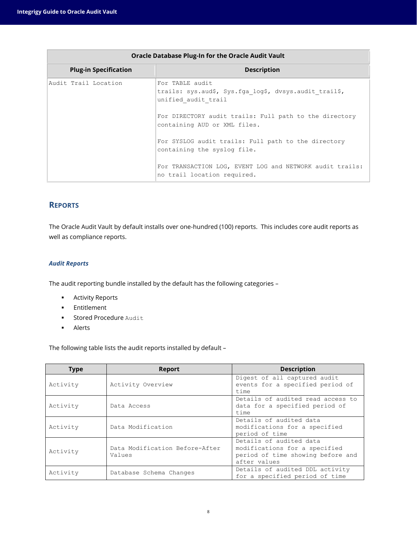| <b>Oracle Database Plug-In for the Oracle Audit Vault</b> |                                                                                                  |  |  |
|-----------------------------------------------------------|--------------------------------------------------------------------------------------------------|--|--|
| <b>Plug-in Specification</b>                              | <b>Description</b>                                                                               |  |  |
| Audit Trail Location                                      | For TABLE audit<br>trails: sys.aud\$, Sys.fga log\$, dvsys.audit trail\$,<br>unified audit trail |  |  |
|                                                           | For DIRECTORY audit trails: Full path to the directory<br>containing AUD or XML files.           |  |  |
|                                                           | For SYSLOG audit trails: Full path to the directory<br>containing the syslog file.               |  |  |
|                                                           | For TRANSACTION LOG, EVENT LOG and NETWORK audit trails:<br>no trail location required.          |  |  |

## <span id="page-7-0"></span>**REPORTS**

The Oracle Audit Vault by default installs over one-hundred (100) reports. This includes core audit reports as well as compliance reports.

### *Audit Reports*

The audit reporting bundle installed by the default has the following categories –

- **Activity Reports**
- **Entitlement**
- **Stored Procedure Audit**
- **Alerts**

The following table lists the audit reports installed by default –

| <b>Type</b><br><b>Report</b> |                                          | <b>Description</b>                                                                                            |
|------------------------------|------------------------------------------|---------------------------------------------------------------------------------------------------------------|
| Activity                     | Activity Overview                        | Digest of all captured audit<br>events for a specified period of<br>time                                      |
| Activity                     | Data Access                              | Details of audited read access to<br>data for a specified period of<br>time                                   |
| Activity                     | Data Modification                        | Details of audited data<br>modifications for a specified<br>period of time                                    |
| Activity                     | Data Modification Before-After<br>Values | Details of audited data<br>modifications for a specified<br>period of time showing before and<br>after values |
| Activity                     | Database Schema Changes                  | Details of audited DDL activity<br>for a specified period of time                                             |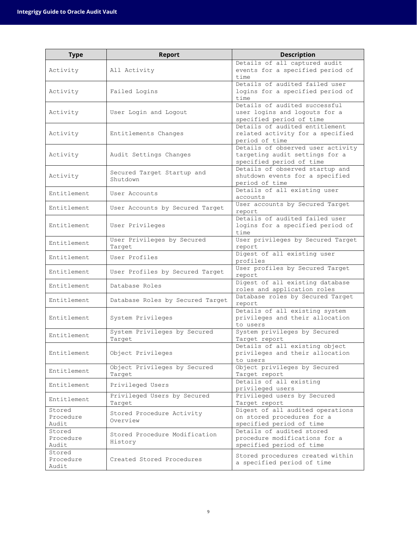| <b>Type</b>                  | <b>Report</b>                            | <b>Description</b>                                                                              |  |
|------------------------------|------------------------------------------|-------------------------------------------------------------------------------------------------|--|
| Activity                     | All Activity                             | Details of all captured audit<br>events for a specified period of<br>time                       |  |
| Activity                     | Failed Logins                            | Details of audited failed user<br>logins for a specified period of<br>time                      |  |
| Activity                     | User Login and Logout                    | Details of audited successful<br>user logins and logouts for a<br>specified period of time      |  |
| Activity                     | Entitlements Changes                     | Details of audited entitlement<br>related activity for a specified<br>period of time            |  |
| Activity                     | Audit Settings Changes                   | Details of observed user activity<br>targeting audit settings for a<br>specified period of time |  |
| Activity                     | Secured Target Startup and<br>Shutdown   | Details of observed startup and<br>shutdown events for a specified<br>period of time            |  |
| Entitlement                  | User Accounts                            | Details of all existing user<br>accounts                                                        |  |
| Entitlement                  | User Accounts by Secured Target          | User accounts by Secured Target<br>report                                                       |  |
| Entitlement                  | User Privileges                          | Details of audited failed user<br>logins for a specified period of<br>time                      |  |
| Entitlement                  | User Privileges by Secured<br>Tarqet     | User privileges by Secured Target<br>report                                                     |  |
| Entitlement                  | User Profiles                            | Digest of all existing user<br>profiles                                                         |  |
| Entitlement                  | User Profiles by Secured Target          | User profiles by Secured Target<br>report                                                       |  |
| Entitlement                  | Database Roles                           | Digest of all existing database<br>roles and application roles                                  |  |
| Entitlement                  | Database Roles by Secured Target         | Database roles by Secured Target<br>report                                                      |  |
| Entitlement                  | System Privileges                        | Details of all existing system<br>privileges and their allocation<br>to users                   |  |
| Entitlement                  | System Privileges by Secured<br>Target   | System privileges by Secured<br>Target report                                                   |  |
| Entitlement                  | Object Privileges                        | Details of all existing object<br>privileges and their allocation<br>to users                   |  |
| Entitlement                  | Object Privileges by Secured<br>Target   | Object privileges by Secured<br>Target report                                                   |  |
| Entitlement                  | Privileged Users                         | Details of all existing<br>privileged users                                                     |  |
| Entitlement                  | Privileged Users by Secured<br>Target    | Privileged users by Secured<br>Target report                                                    |  |
| Stored<br>Procedure<br>Audit | Stored Procedure Activity<br>Overview    | Digest of all audited operations<br>on stored procedures for a<br>specified period of time      |  |
| Stored<br>Procedure<br>Audit | Stored Procedure Modification<br>History | Details of audited stored<br>procedure modifications for a<br>specified period of time          |  |
| Stored<br>Procedure<br>Audit | Created Stored Procedures                | Stored procedures created within<br>a specified period of time                                  |  |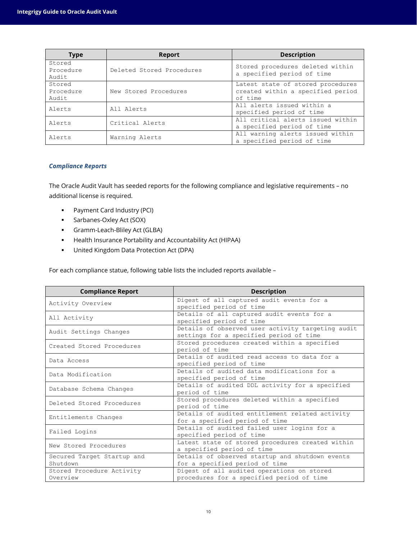| <b>Type</b>                  | <b>Report</b>             | <b>Description</b>                                                                |
|------------------------------|---------------------------|-----------------------------------------------------------------------------------|
| Stored<br>Procedure<br>Audit | Deleted Stored Procedures | Stored procedures deleted within<br>a specified period of time                    |
| Stored<br>Procedure<br>Audit | New Stored Procedures     | Latest state of stored procedures<br>created within a specified period<br>of time |
| Alerts                       | All Alerts                | All alerts issued within a<br>specified period of time                            |
| Alerts                       | Critical Alerts           | All critical alerts issued within<br>a specified period of time                   |
| Alerts                       | Warning Alerts            | All warning alerts issued within<br>a specified period of time                    |

#### *Compliance Reports*

The Oracle Audit Vault has seeded reports for the following compliance and legislative requirements – no additional license is required.

- Payment Card Industry (PCI)
- **Sarbanes-Oxley Act (SOX)**
- Gramm-Leach-Bliley Act (GLBA)
- Health Insurance Portability and Accountability Act (HIPAA)
- United Kingdom Data Protection Act (DPA)

For each compliance statue, following table lists the included reports available –

| <b>Compliance Report</b>                                                      | <b>Description</b>                                |  |  |
|-------------------------------------------------------------------------------|---------------------------------------------------|--|--|
| Activity Overview                                                             | Digest of all captured audit events for a         |  |  |
|                                                                               | specified period of time                          |  |  |
| All Activity                                                                  | Details of all captured audit events for a        |  |  |
|                                                                               | specified period of time                          |  |  |
| Audit Settings Changes                                                        | Details of observed user activity targeting audit |  |  |
|                                                                               | settings for a specified period of time           |  |  |
| Created Stored Procedures                                                     | Stored procedures created within a specified      |  |  |
|                                                                               | period of time                                    |  |  |
| Data Access                                                                   | Details of audited read access to data for a      |  |  |
|                                                                               | specified period of time                          |  |  |
| Data Modification                                                             | Details of audited data modifications for a       |  |  |
|                                                                               | specified period of time                          |  |  |
| Database Schema Changes                                                       | Details of audited DDL activity for a specified   |  |  |
|                                                                               | period of time                                    |  |  |
| Deleted Stored Procedures                                                     | Stored procedures deleted within a specified      |  |  |
|                                                                               | period of time                                    |  |  |
|                                                                               | Details of audited entitlement related activity   |  |  |
| Entitlements Changes                                                          | for a specified period of time                    |  |  |
| Failed Logins                                                                 | Details of audited failed user logins for a       |  |  |
|                                                                               | specified period of time                          |  |  |
| New Stored Procedures                                                         | Latest state of stored procedures created within  |  |  |
|                                                                               | a specified period of time                        |  |  |
| Details of observed startup and shutdown events<br>Secured Target Startup and |                                                   |  |  |
| Shutdown                                                                      | for a specified period of time                    |  |  |
| Stored Procedure Activity                                                     | Digest of all audited operations on stored        |  |  |
| Overview                                                                      | procedures for a specified period of time         |  |  |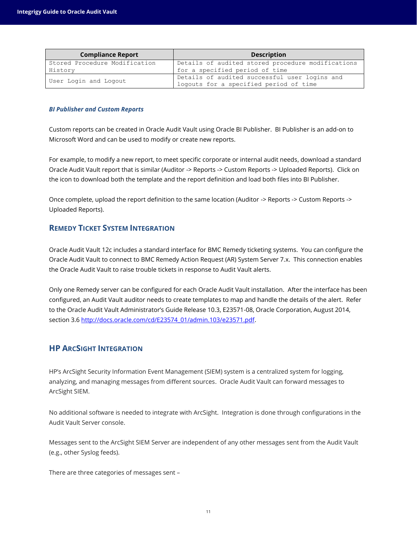| <b>Compliance Report</b>      | <b>Description</b>                                |  |  |
|-------------------------------|---------------------------------------------------|--|--|
| Stored Procedure Modification | Details of audited stored procedure modifications |  |  |
| History                       | for a specified period of time                    |  |  |
| User Login and Logout         | Details of audited successful user logins and     |  |  |
|                               | logouts for a specified period of time            |  |  |

#### *BI Publisher and Custom Reports*

Custom reports can be created in Oracle Audit Vault using Oracle BI Publisher. BI Publisher is an add-on to Microsoft Word and can be used to modify or create new reports.

For example, to modify a new report, to meet specific corporate or internal audit needs, download a standard Oracle Audit Vault report that is similar (Auditor -> Reports -> Custom Reports -> Uploaded Reports). Click on the icon to download both the template and the report definition and load both files into BI Publisher.

Once complete, upload the report definition to the same location (Auditor -> Reports -> Custom Reports -> Uploaded Reports).

## <span id="page-10-0"></span>**REMEDY TICKET SYSTEM INTEGRATION**

Oracle Audit Vault 12c includes a standard interface for BMC Remedy ticketing systems. You can configure the Oracle Audit Vault to connect to BMC Remedy Action Request (AR) System Server 7.x. This connection enables the Oracle Audit Vault to raise trouble tickets in response to Audit Vault alerts.

Only one Remedy server can be configured for each Oracle Audit Vault installation. After the interface has been configured, an Audit Vault auditor needs to create templates to map and handle the details of the alert. Refer to the Oracle Audit Vault Administrator's Guide Release 10.3, E23571-08, Oracle Corporation, August 2014, section 3.6 [http://docs.oracle.com/cd/E23574\\_01/admin.103/e23571.pdf.](http://docs.oracle.com/cd/E23574_01/admin.103/e23571.pdf)

## <span id="page-10-1"></span>**HP ARCSIGHT INTEGRATION**

HP's ArcSight Security Information Event Management (SIEM) system is a centralized system for logging, analyzing, and managing messages from different sources. Oracle Audit Vault can forward messages to ArcSight SIEM.

No additional software is needed to integrate with ArcSight. Integration is done through configurations in the Audit Vault Server console.

Messages sent to the ArcSight SIEM Server are independent of any other messages sent from the Audit Vault (e.g., other Syslog feeds).

There are three categories of messages sent –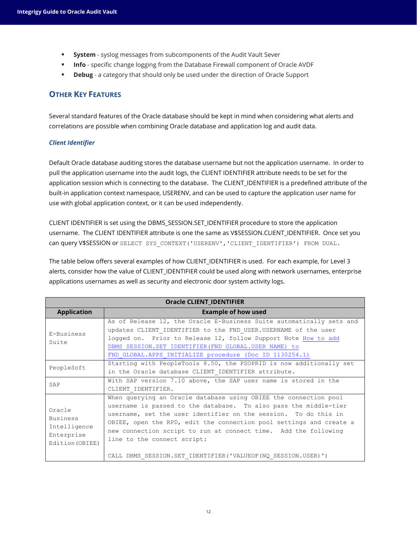- **System** syslog messages from subcomponents of the Audit Vault Sever
- **Info** specific change logging from the Database Firewall component of Oracle AVDF
- **Debug** a category that should only be used under the direction of Oracle Support

## <span id="page-11-0"></span>**OTHER KEY FEATURES**

Several standard features of the Oracle database should be kept in mind when considering what alerts and correlations are possible when combining Oracle database and application log and audit data.

#### *Client Identifier*

Default Oracle database auditing stores the database username but not the application username. In order to pull the application username into the audit logs, the CLIENT IDENTIFIER attribute needs to be set for the application session which is connecting to the database. The CLIENT IDENTIFIER is a predefined attribute of the built-in application context namespace, USERENV, and can be used to capture the application user name for use with global application context, or it can be used independently.

CLIENT IDENTIFIER is set using the DBMS\_SESSION.SET\_IDENTIFIER procedure to store the application username. The CLIENT IDENTIFIER attribute is one the same as V\$SESSION.CLIENT IDENTIFIER. Once set you can query V\$SESSION or SELECT SYS CONTEXT ('USERENV', 'CLIENT IDENTIFIER') FROM DUAL.

The table below offers several examples of how CLIENT\_IDENTIFIER is used. For each example, for Level 3 alerts, consider how the value of CLIENT IDENTIFIER could be used along with network usernames, enterprise applications usernames as well as security and electronic door system activity logs.

| <b>Oracle CLIENT_IDENTIFIER</b>                                            |                                                                                                                                                                                                                                                                                                                                                                                  |  |  |
|----------------------------------------------------------------------------|----------------------------------------------------------------------------------------------------------------------------------------------------------------------------------------------------------------------------------------------------------------------------------------------------------------------------------------------------------------------------------|--|--|
| <b>Application</b>                                                         | <b>Example of how used</b>                                                                                                                                                                                                                                                                                                                                                       |  |  |
| E-Business<br>Suite                                                        | As of Release 12, the Oracle E-Business Suite automatically sets and<br>updates CLIENT IDENTIFIER to the FND USER.USERNAME of the user<br>logged on. Prior to Release 12, follow Support Note How to add<br>DBMS SESSION.SET IDENTIFIER (FND GLOBAL.USER NAME) to<br>FND GLOBAL. APPS INITIALIZE procedure (Doc ID 1130254.1)                                                    |  |  |
| PeopleSoft                                                                 | Starting with PeopleTools 8.50, the PSOPRID is now additionally set<br>in the Oracle database CLIENT IDENTIFIER attribute.                                                                                                                                                                                                                                                       |  |  |
| SAP                                                                        | With SAP version 7.10 above, the SAP user name is stored in the<br>CLIENT IDENTIFIER.                                                                                                                                                                                                                                                                                            |  |  |
| Oracle<br><b>Business</b><br>Intelligence<br>Enterprise<br>Edition (OBIEE) | When querying an Oracle database using OBIEE the connection pool<br>username is passed to the database. To also pass the middle-tier<br>username, set the user identifier on the session. To do this in<br>OBIEE, open the RPD, edit the connection pool settings and create a<br>new connection script to run at connect time. Add the following<br>line to the connect script: |  |  |
|                                                                            | CALL DBMS SESSION. SET IDENTIFIER ('VALUEOF (NQ SESSION. USER)')                                                                                                                                                                                                                                                                                                                 |  |  |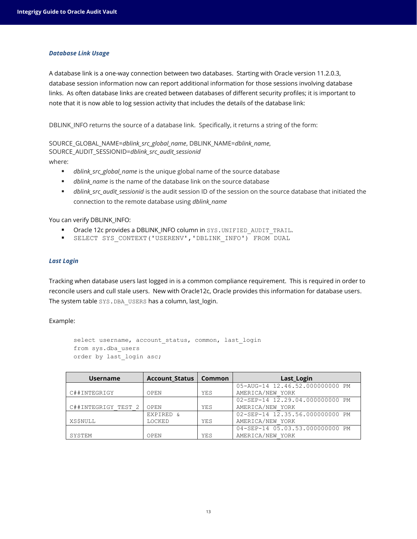#### *Database Link Usage*

A database link is a one-way connection between two databases. Starting with Oracle version 11.2.0.3, database session information now can report additional information for those sessions involving database links. As often database links are created between databases of different security profiles; it is important to note that it is now able to log session activity that includes the details of the database link:

DBLINK\_INFO returns the source of a database link. Specifically, it returns a string of the form:

SOURCE\_GLOBAL\_NAME=*dblink\_src\_global\_name*, DBLINK\_NAME=*dblink\_name*, SOURCE\_AUDIT\_SESSIONID=*dblink\_src\_audit\_sessionid*

where:

- *dblink\_src\_global\_name* is the unique global name of the source database
- *dblink\_name* is the name of the database link on the source database
- *dblink\_src\_audit\_sessionid* is the audit session ID of the session on the source database that initiated the connection to the remote database using *dblink\_name*

#### You can verify DBLINK\_INFO:

- Oracle 12c provides a DBLINK\_INFO column in SYS. UNIFIED\_AUDIT\_TRAIL.
- SELECT SYS\_CONTEXT('USERENV','DBLINK\_INFO') FROM DUAL

#### *Last Login*

Tracking when database users last logged in is a common compliance requirement. This is required in order to reconcile users and cull stale users. New with Oracle12c, Oracle provides this information for database users. The system table SYS.DBA\_USERS has a column, last\_login.

#### Example:

```
select username, account_status, common, last_login
from sys.dba_users
order by last login asc;
```

| <b>Username</b>     | <b>Account Status</b> | <b>Common</b> | Last_Login                      |
|---------------------|-----------------------|---------------|---------------------------------|
|                     |                       |               | 05-AUG-14 12.46.52.000000000 PM |
| C##INTEGRIGY        | OPEN                  | YES           | AMERICA/NEW YORK                |
|                     |                       |               | 02-SEP-14 12.29.04.000000000 PM |
| C##INTEGRIGY TEST 2 | OPEN                  | YES           | AMERICA/NEW YORK                |
|                     | EXPIRED &             |               | 02-SEP-14 12.35.56.000000000 PM |
| <b>XS\$NULL</b>     | LOCKED                | YES           | AMERICA/NEW YORK                |
|                     |                       |               | 04-SEP-14 05.03.53.000000000 PM |
| SYSTEM              | OPEN                  | YES           | AMERICA/NEW YORK                |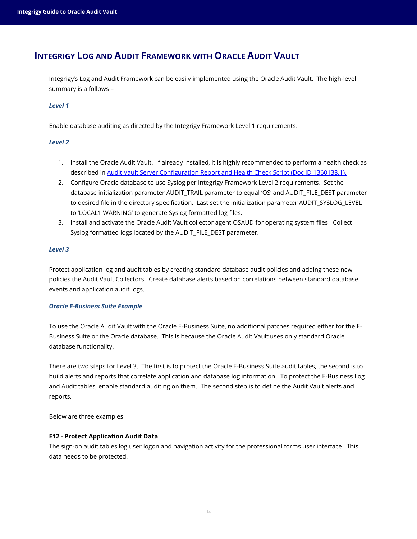## <span id="page-13-0"></span>**INTEGRIGY LOG AND AUDIT FRAMEWORK WITH ORACLE AUDIT VAULT**

Integrigy's Log and Audit Framework can be easily implemented using the Oracle Audit Vault. The high-level summary is a follows –

#### *Level 1*

Enable database auditing as directed by the Integrigy Framework Level 1 requirements.

#### *Level 2*

- 1. Install the Oracle Audit Vault. If already installed, it is highly recommended to perform a health check as described in [Audit Vault Server Configuration Report and Health Check Script \(Doc ID](https://support.oracle.com/rs?type=doc&id=1360138.1) 1360138.1).
- 2. Configure Oracle database to use Syslog per Integrigy Framework Level 2 requirements. Set the database initialization parameter AUDIT\_TRAIL parameter to equal 'OS' and AUDIT\_FILE\_DEST parameter to desired file in the directory specification. Last set the initialization parameter AUDIT\_SYSLOG\_LEVEL to 'LOCAL1.WARNING' to generate Syslog formatted log files.
- 3. Install and activate the Oracle Audit Vault collector agent OSAUD for operating system files. Collect Syslog formatted logs located by the AUDIT\_FILE\_DEST parameter.

#### *Level 3*

Protect application log and audit tables by creating standard database audit policies and adding these new policies the Audit Vault Collectors. Create database alerts based on correlations between standard database events and application audit logs.

#### *Oracle E-Business Suite Example*

To use the Oracle Audit Vault with the Oracle E-Business Suite, no additional patches required either for the E-Business Suite or the Oracle database. This is because the Oracle Audit Vault uses only standard Oracle database functionality.

There are two steps for Level 3. The first is to protect the Oracle E-Business Suite audit tables, the second is to build alerts and reports that correlate application and database log information. To protect the E-Business Log and Audit tables, enable standard auditing on them. The second step is to define the Audit Vault alerts and reports.

Below are three examples.

#### **E12 - Protect Application Audit Data**

The sign-on audit tables log user logon and navigation activity for the professional forms user interface. This data needs to be protected.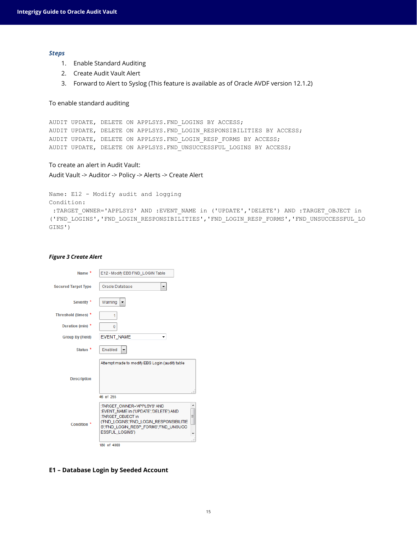#### *Steps*

- 1. Enable Standard Auditing
- 2. Create Audit Vault Alert
- 3. Forward to Alert to Syslog (This feature is available as of Oracle AVDF version 12.1.2)

To enable standard auditing

```
AUDIT UPDATE, DELETE ON APPLSYS.FND_LOGINS BY ACCESS;
AUDIT UPDATE, DELETE ON APPLSYS.FND_LOGIN_RESPONSIBILITIES BY ACCESS;
AUDIT UPDATE, DELETE ON APPLSYS. FND LOGIN RESP FORMS BY ACCESS;
AUDIT UPDATE, DELETE ON APPLSYS.FND_UNSUCCESSFUL_LOGINS BY ACCESS;
```
To create an alert in Audit Vault: Audit Vault -> Auditor -> Policy -> Alerts -> Create Alert

```
Name: E12 - Modify audit and logging
Condition:
:TARGET_OWNER='APPLSYS' AND :EVENT_NAME in ('UPDATE','DELETE') AND :TARGET_OBJECT in
('FND_LOGINS','FND_LOGIN_RESPONSIBILITIES','FND_LOGIN_RESP_FORMS','FND_UNSUCCESSFUL_LO
GINS')
```
#### *Figure 3 Create Alert*

| Name <sup>*</sup>          | E12 - Modify EBS FND LOGIN Table                                                                                                                                                                                    |
|----------------------------|---------------------------------------------------------------------------------------------------------------------------------------------------------------------------------------------------------------------|
| <b>Secured Target Type</b> | Oracle Database                                                                                                                                                                                                     |
| Severity <sup>*</sup>      | Warning                                                                                                                                                                                                             |
| Threshold (times) *        | 1                                                                                                                                                                                                                   |
| Duration (min) *           | 0                                                                                                                                                                                                                   |
| <b>Group By (Field)</b>    | <b>EVENT NAME</b>                                                                                                                                                                                                   |
| Status <sup>*</sup>        | Enabled                                                                                                                                                                                                             |
| <b>Description</b>         | Attempt made to modify EBS Login (audit) table                                                                                                                                                                      |
|                            | 46 of 255                                                                                                                                                                                                           |
| Condition <sup>*</sup>     | :TARGET OWNER='APPLSYS' AND<br>Á<br>:EVENT NAME in ('UPDATE','DELETE') AND<br>E<br>:TARGET_OBJECT in<br>('FND LOGINS','FND LOGIN RESPONSIBILITIE<br>S','FND_LOGIN_RESP_FORMS','FND_UNSUCC<br><b>ESSFUL LOGINS')</b> |
|                            | 180 of 4000                                                                                                                                                                                                         |

**E1 – Database Login by Seeded Account**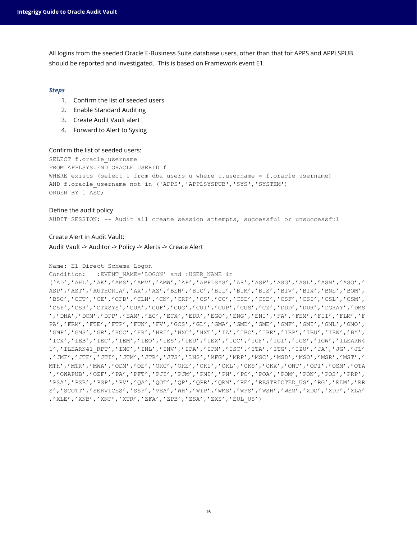All logins from the seeded Oracle E-Business Suite database users, other than that for APPS and APPLSPUB should be reported and investigated. This is based on Framework event E1.

#### *Steps*

- 1. Confirm the list of seeded users
- 2. Enable Standard Auditing
- 3. Create Audit Vault alert
- 4. Forward to Alert to Syslog

#### Confirm the list of seeded users:

SELECT f.oracle username FROM APPLSYS. FND ORACLE USERID f WHERE exists (select 1 from dba users u where u.username = f.oracle username) AND f.oracle\_username not in ('APPS','APPLSYSPUB','SYS','SYSTEM') ORDER BY 1 ASC;

#### Define the audit policy AUDIT SESSION; -- Audit all create session attempts, successful or unsuccessful

Create Alert in Audit Vault: Audit Vault -> Auditor -> Policy -> Alerts -> Create Alert

#### Name: E1 Direct Schema Logon

```
Condition: : EVENT_NAME='LOGON' and :USER_NAME in
```
('AD','AHL','AK','AMS','AMV','AMW','AP','APPLSYS','AR','ASF','ASG','ASL','ASN','ASO',' ASP','AST','AUTHORIA','AX','AZ','BEN','BIC','BIL','BIM','BIS','BIV','BIX','BNE','BOM', 'BSC','CCT','CE','CFD','CLN','CN','CRP','CS','CC','CSD','CSE','CSF','CSI','CSL','CSM', 'CSP','CSR','CTXSYS','CUA','CUF','CUG','CUI','CUP','CUS','CZ','DDD','DDR','DGRAY','DMS ','DNA','DOM','DPP','EAM','EC','ECX','EDR','EGO','ENG','ENI','FA','FEM','FII','FLM','F PA','FRM','FTE','FTP','FUN','FV','GCS','GL','GMA','GMD','GME','GMF','GMI','GML','GMO', 'GMP','GMS','GR','HCC','HR','HRI','HXC','HXT','IA','IBC','IBE','IBP','IBU','IBW','BY', 'ICX','IEB','IEC','IEM','IEO','IES','IEU','IEX','IGC','IGF','IGI','IGS','IGW','ILEARN4 1','ILEARN41\_RPT','IMC','INL','INV','IPA','IPM','ISC','ITA','ITG','IZU','JA','JG','JL' ,'JMF','JTF','JTI','JTM','JTR','JTS','LNS','MFG','MRP','MSC','MSD','MSO','MSR','MST',' MTH','MTR','MWA','ODM','OE','OKC','OKE','OKI','OKL','OKS','OKX','ONT','OPI','OSM','OTA ','OWAPUB','OZF','PA','PFT','PJI','PJM','PMI','PN','PO','POA','POM','PON','POS','PRP', 'PSA','PSB','PSP','PV','QA','QOT','QP','QPR','QRM','RE','RESTRICTED\_US','RG','RLM','RR S','SCOTT','SERVICES','SSP','VEA','WH','WIP','WMS','WPS','WSH','WSM','XDO','XDP','XLA' ,'XLE','XNB','XNP','XTR','ZFA','ZPB','ZSA','ZXS','EUL\_US')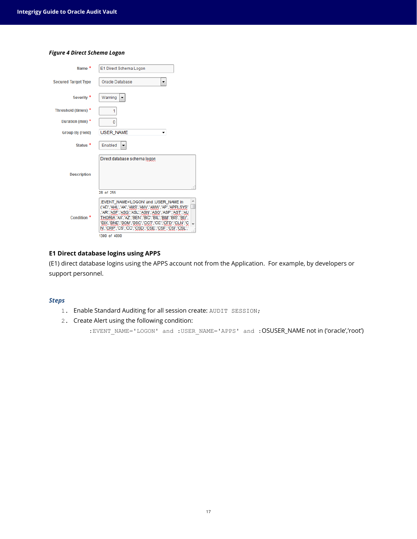#### *Figure 4 Direct Schema Logon*

| Name *                     | E1 Direct Schema Logon                                                                                                                                                                                                                                                                                                                |
|----------------------------|---------------------------------------------------------------------------------------------------------------------------------------------------------------------------------------------------------------------------------------------------------------------------------------------------------------------------------------|
| <b>Secured Target Type</b> | Oracle Database                                                                                                                                                                                                                                                                                                                       |
| Severity <sup>*</sup>      | Warning                                                                                                                                                                                                                                                                                                                               |
| Threshold (times) *        | 1                                                                                                                                                                                                                                                                                                                                     |
| Duration (min) *           | 0                                                                                                                                                                                                                                                                                                                                     |
| <b>Group By (Field)</b>    | <b>USER NAME</b>                                                                                                                                                                                                                                                                                                                      |
| Status <sup>*</sup>        | Enabled                                                                                                                                                                                                                                                                                                                               |
| <b>Description</b>         | Direct database schema logon                                                                                                                                                                                                                                                                                                          |
|                            | 28 of 255                                                                                                                                                                                                                                                                                                                             |
| Condition <sup>*</sup>     | :EVENT_NAME='LOGON' and :USER_NAME in<br>('AD','AHL','AK','AMS','AMV','AMW','AP','APPLSYS'<br>,'AR','ASF','ASG','ASL','ASN','ASO','ASP','AST','AU<br>THORIA','AX','AZ','BEN','BIC','BIL','BIM','BIS','BIV',<br>'BIX','BNE','BOM','BSC','CCT','CE','CFD','CLN','C<br>N','CRP','CS','CC','CSD','CSE','CSF','CS!','CSL',<br>1300 of 4000 |

#### **E1 Direct database logins using APPS**

(E1) direct database logins using the APPS account not from the Application. For example, by developers or support personnel.

#### *Steps*

- 1. Enable Standard Auditing for all session create: AUDIT SESSION;
- 2. Create Alert using the following condition:

:EVENT\_NAME='LOGON' and :USER\_NAME='APPS' and :OSUSER\_NAME not in ('oracle','root')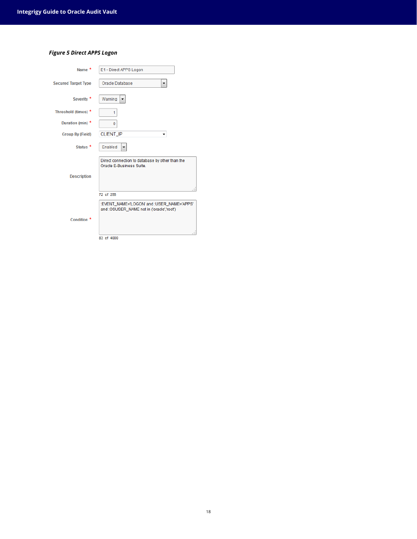#### *Figure 5 Direct APPS Logon*

| Name <sup>*</sup>          | E1 - Direct APPS Logon                                                                 |
|----------------------------|----------------------------------------------------------------------------------------|
| <b>Secured Target Type</b> | Oracle Database<br>▼                                                                   |
| Severity <sup>*</sup>      | Warning                                                                                |
| Threshold (times) *        | 1                                                                                      |
| Duration (min) *           | 0                                                                                      |
| <b>Group By (Field)</b>    | CLIENT_IP                                                                              |
| Status <sup>*</sup>        | Enabled                                                                                |
| <b>Description</b>         | Direct connection to database by other than the<br>Oracle E-Business Suite.            |
|                            | 72 of 255                                                                              |
| Condition <sup>*</sup>     | :EVENT_NAME="LOGON" and :USER_NAME="APPS"<br>and :OSUSER_NAME not in ('oracle','root') |
|                            | 83 of 4000                                                                             |
|                            |                                                                                        |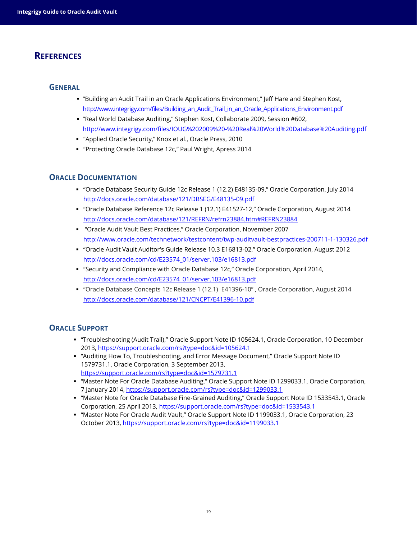## <span id="page-18-0"></span>**REFERENCES**

#### <span id="page-18-1"></span>**GENERAL**

- "Building an Audit Trail in an Oracle Applications Environment," Jeff Hare and Stephen Kost, [http://www.integrigy.com/files/Building\\_an\\_Audit\\_Trail\\_in\\_an\\_Oracle\\_Applications\\_Environment.pdf](http://www.integrigy.com/files/Building_an_Audit_Trail_in_an_Oracle_Applications_Environment.pdf)
- "Real World Database Auditing," Stephen Kost, Collaborate 2009, Session #602, <http://www.integrigy.com/files/IOUG%202009%20-%20Real%20World%20Database%20Auditing.pdf>
- "Applied Oracle Security," Knox et al., Oracle Press, 2010
- "Protecting Oracle Database 12c," Paul Wright, Apress 2014

### <span id="page-18-2"></span>**ORACLE DOCUMENTATION**

- "Oracle Database Security Guide 12c Release 1 (12.2) E48135-09," Oracle Corporation, July 2014 <http://docs.oracle.com/database/121/DBSEG/E48135-09.pdf>
- "Oracle Database Reference 12c Release 1 (12.1) E41527-12," Oracle Corporation, August 2014 <http://docs.oracle.com/database/121/REFRN/refrn23884.htm#REFRN23884>
- "Oracle Audit Vault Best Practices," Oracle Corporation, November 2007 <http://www.oracle.com/technetwork/testcontent/twp-auditvault-bestpractices-200711-1-130326.pdf>
- "Oracle Audit Vault Auditor's Guide Release 10.3 E16813-02," Oracle Corporation, August 2012 [http://docs.oracle.com/cd/E23574\\_01/server.103/e16813.pdf](http://docs.oracle.com/cd/E23574_01/server.103/e16813.pdf)
- "Security and Compliance with Oracle Database 12c," Oracle Corporation, April 2014, [http://docs.oracle.com/cd/E23574\\_01/server.103/e16813.pdf](http://docs.oracle.com/cd/E23574_01/server.103/e16813.pdf)
- "Oracle Database Concepts 12*c* Release 1 (12.1) E41396-10" , Oracle Corporation, August 2014 <http://docs.oracle.com/database/121/CNCPT/E41396-10.pdf>

## <span id="page-18-3"></span>**ORACLE SUPPORT**

- "Troubleshooting (Audit Trail)," Oracle Support Note ID 105624.1, Oracle Corporation, 10 December 2013, <https://support.oracle.com/rs?type=doc&id=105624.1>
- "Auditing How To, Troubleshooting, and Error Message Document," Oracle Support Note ID 1579731.1, Oracle Corporation, 3 September 2013, <https://support.oracle.com/rs?type=doc&id=1579731.1>
- "Master Note For Oracle Database Auditing," Oracle Support Note ID 1299033.1, Oracle Corporation, 7 January 2014, <https://support.oracle.com/rs?type=doc&id=1299033.1>
- "Master Note for Oracle Database Fine-Grained Auditing," Oracle Support Note ID 1533543.1, Oracle Corporation, 25 April 2013, <https://support.oracle.com/rs?type=doc&id=1533543.1>
- "Master Note For Oracle Audit Vault," Oracle Support Note ID 1199033.1, Oracle Corporation, 23 October 2013, <https://support.oracle.com/rs?type=doc&id=1199033.1>